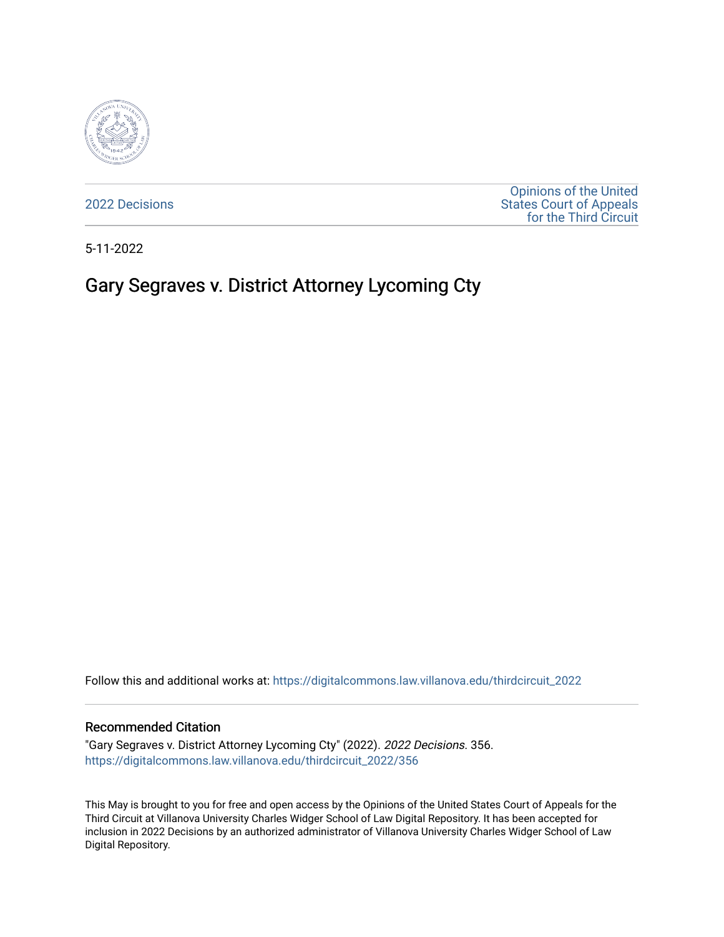

[2022 Decisions](https://digitalcommons.law.villanova.edu/thirdcircuit_2022)

[Opinions of the United](https://digitalcommons.law.villanova.edu/thirdcircuit)  [States Court of Appeals](https://digitalcommons.law.villanova.edu/thirdcircuit)  [for the Third Circuit](https://digitalcommons.law.villanova.edu/thirdcircuit) 

5-11-2022

# Gary Segraves v. District Attorney Lycoming Cty

Follow this and additional works at: [https://digitalcommons.law.villanova.edu/thirdcircuit\\_2022](https://digitalcommons.law.villanova.edu/thirdcircuit_2022?utm_source=digitalcommons.law.villanova.edu%2Fthirdcircuit_2022%2F356&utm_medium=PDF&utm_campaign=PDFCoverPages) 

#### Recommended Citation

"Gary Segraves v. District Attorney Lycoming Cty" (2022). 2022 Decisions. 356. [https://digitalcommons.law.villanova.edu/thirdcircuit\\_2022/356](https://digitalcommons.law.villanova.edu/thirdcircuit_2022/356?utm_source=digitalcommons.law.villanova.edu%2Fthirdcircuit_2022%2F356&utm_medium=PDF&utm_campaign=PDFCoverPages)

This May is brought to you for free and open access by the Opinions of the United States Court of Appeals for the Third Circuit at Villanova University Charles Widger School of Law Digital Repository. It has been accepted for inclusion in 2022 Decisions by an authorized administrator of Villanova University Charles Widger School of Law Digital Repository.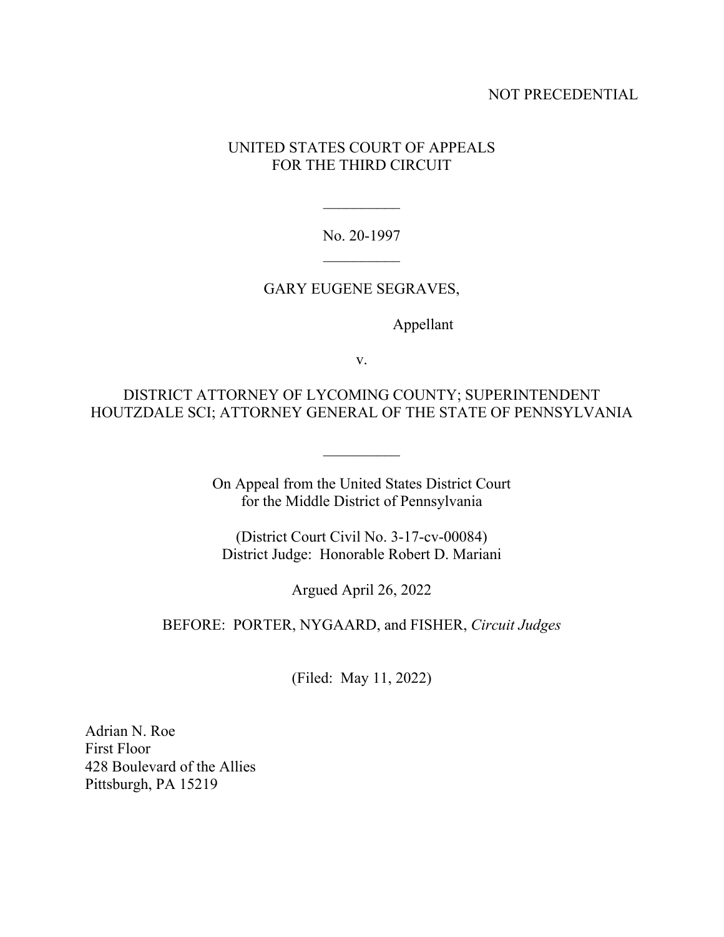# NOT PRECEDENTIAL

# UNITED STATES COURT OF APPEALS FOR THE THIRD CIRCUIT

No. 20-1997

# GARY EUGENE SEGRAVES,

Appellant

v.

DISTRICT ATTORNEY OF LYCOMING COUNTY; SUPERINTENDENT HOUTZDALE SCI; ATTORNEY GENERAL OF THE STATE OF PENNSYLVANIA

> On Appeal from the United States District Court for the Middle District of Pennsylvania

(District Court Civil No. 3-17-cv-00084) District Judge: Honorable Robert D. Mariani

Argued April 26, 2022

### BEFORE: PORTER, NYGAARD, and FISHER, *Circuit Judges*

(Filed: May 11, 2022)

Adrian N. Roe First Floor 428 Boulevard of the Allies Pittsburgh, PA 15219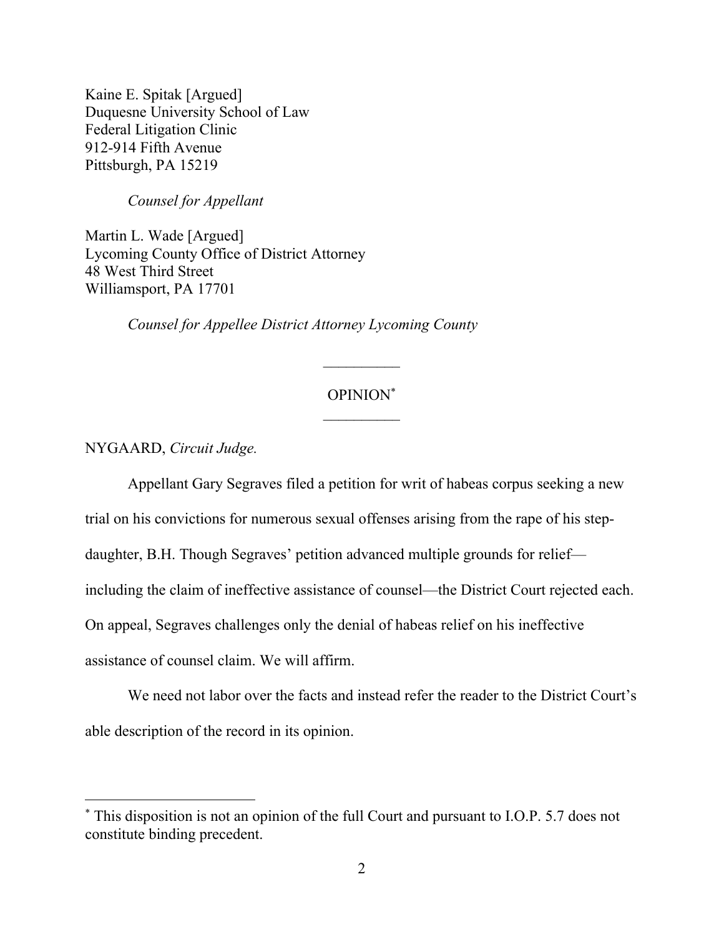Kaine E. Spitak [Argued] Duquesne University School of Law Federal Litigation Clinic 912-914 Fifth Avenue Pittsburgh, PA 15219

*Counsel for Appellant* 

Martin L. Wade [Argued] Lycoming County Office of District Attorney 48 West Third Street Williamsport, PA 17701

*Counsel for Appellee District Attorney Lycoming County*

# OPINION\*

 $\frac{1}{2}$ 

NYGAARD, *Circuit Judge.*

Appellant Gary Segraves filed a petition for writ of habeas corpus seeking a new

trial on his convictions for numerous sexual offenses arising from the rape of his step-

daughter, B.H. Though Segraves' petition advanced multiple grounds for relief—

including the claim of ineffective assistance of counsel—the District Court rejected each.

On appeal, Segraves challenges only the denial of habeas relief on his ineffective

assistance of counsel claim. We will affirm.

We need not labor over the facts and instead refer the reader to the District Court's able description of the record in its opinion.

<sup>\*</sup> This disposition is not an opinion of the full Court and pursuant to I.O.P. 5.7 does not constitute binding precedent.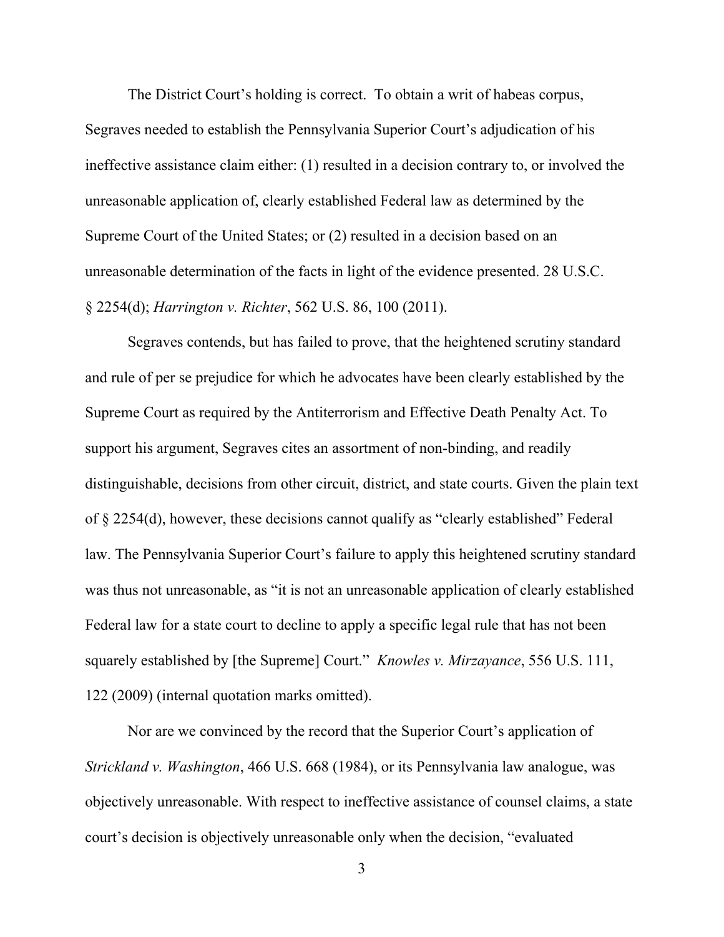The District Court's holding is correct. To obtain a writ of habeas corpus, Segraves needed to establish the Pennsylvania Superior Court's adjudication of his ineffective assistance claim either: (1) resulted in a decision contrary to, or involved the unreasonable application of, clearly established Federal law as determined by the Supreme Court of the United States; or (2) resulted in a decision based on an unreasonable determination of the facts in light of the evidence presented. 28 U.S.C. § 2254(d); *Harrington v. Richter*, 562 U.S. 86, 100 (2011).

Segraves contends, but has failed to prove, that the heightened scrutiny standard and rule of per se prejudice for which he advocates have been clearly established by the Supreme Court as required by the Antiterrorism and Effective Death Penalty Act. To support his argument, Segraves cites an assortment of non-binding, and readily distinguishable, decisions from other circuit, district, and state courts. Given the plain text of § 2254(d), however, these decisions cannot qualify as "clearly established" Federal law. The Pennsylvania Superior Court's failure to apply this heightened scrutiny standard was thus not unreasonable, as "it is not an unreasonable application of clearly established Federal law for a state court to decline to apply a specific legal rule that has not been squarely established by [the Supreme] Court." *Knowles v. Mirzayance*, 556 U.S. 111, 122 (2009) (internal quotation marks omitted).

Nor are we convinced by the record that the Superior Court's application of *Strickland v. Washington*, 466 U.S. 668 (1984), or its Pennsylvania law analogue, was objectively unreasonable. With respect to ineffective assistance of counsel claims, a state court's decision is objectively unreasonable only when the decision, "evaluated

3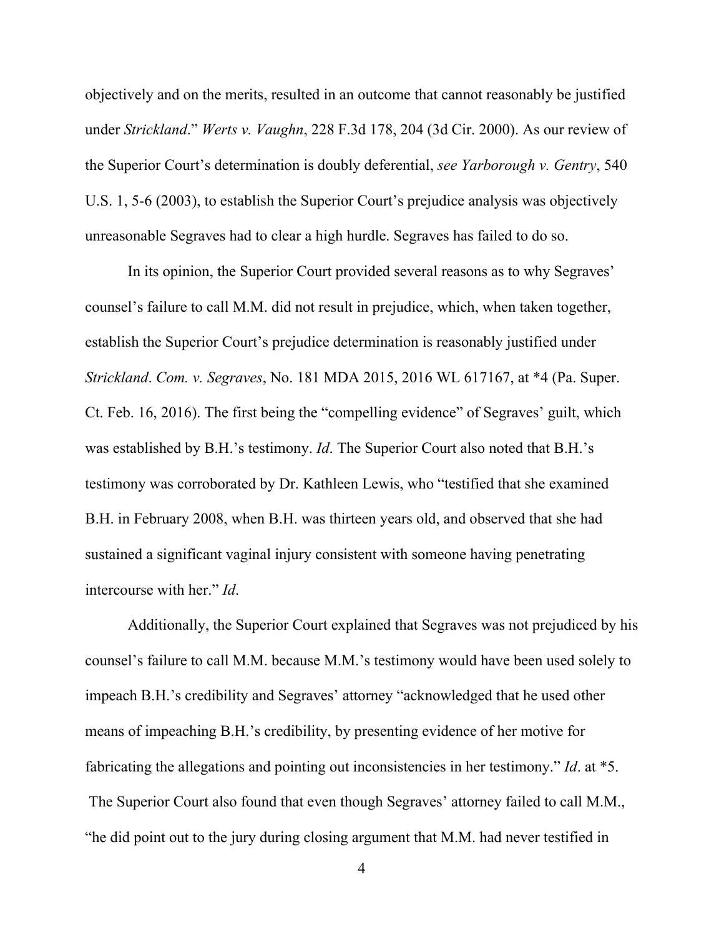objectively and on the merits, resulted in an outcome that cannot reasonably be justified under *Strickland*." *Werts v. Vaughn*, 228 F.3d 178, 204 (3d Cir. 2000). As our review of the Superior Court's determination is doubly deferential, *see Yarborough v. Gentry*, 540 U.S. 1, 5-6 (2003), to establish the Superior Court's prejudice analysis was objectively unreasonable Segraves had to clear a high hurdle. Segraves has failed to do so.

In its opinion, the Superior Court provided several reasons as to why Segraves' counsel's failure to call M.M. did not result in prejudice, which, when taken together, establish the Superior Court's prejudice determination is reasonably justified under *Strickland*. *Com. v. Segraves*, No. 181 MDA 2015, 2016 WL 617167, at \*4 (Pa. Super. Ct. Feb. 16, 2016). The first being the "compelling evidence" of Segraves' guilt, which was established by B.H.'s testimony. *Id*. The Superior Court also noted that B.H.'s testimony was corroborated by Dr. Kathleen Lewis, who "testified that she examined B.H. in February 2008, when B.H. was thirteen years old, and observed that she had sustained a significant vaginal injury consistent with someone having penetrating intercourse with her." *Id*.

 Additionally, the Superior Court explained that Segraves was not prejudiced by his counsel's failure to call M.M. because M.M.'s testimony would have been used solely to impeach B.H.'s credibility and Segraves' attorney "acknowledged that he used other means of impeaching B.H.'s credibility, by presenting evidence of her motive for fabricating the allegations and pointing out inconsistencies in her testimony." *Id*. at \*5. The Superior Court also found that even though Segraves' attorney failed to call M.M., "he did point out to the jury during closing argument that M.M. had never testified in

4